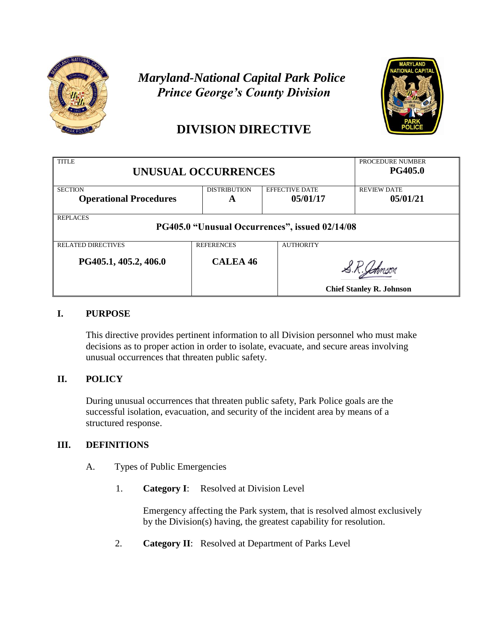

# *Maryland-National Capital Park Police Prince George's County Division*



# **DIVISION DIRECTIVE**

| <b>TITLE</b><br>UNUSUAL OCCURRENCES                               |                     |                       | PROCEDURE NUMBER<br><b>PG405.0</b> |  |
|-------------------------------------------------------------------|---------------------|-----------------------|------------------------------------|--|
| <b>SECTION</b>                                                    | <b>DISTRIBUTION</b> | <b>EFFECTIVE DATE</b> | <b>REVIEW DATE</b>                 |  |
| <b>Operational Procedures</b>                                     | A                   | 05/01/17              | 05/01/21                           |  |
| <b>REPLACES</b><br>PG405.0 "Unusual Occurrences", issued 02/14/08 |                     |                       |                                    |  |
| <b>RELATED DIRECTIVES</b>                                         | <b>REFERENCES</b>   | <b>AUTHORITY</b>      |                                    |  |
| PG405.1, 405.2, 406.0                                             | <b>CALEA 46</b>     |                       | <b>Chief Stanley R. Johnson</b>    |  |

## **I. PURPOSE**

This directive provides pertinent information to all Division personnel who must make decisions as to proper action in order to isolate, evacuate, and secure areas involving unusual occurrences that threaten public safety.

## **II. POLICY**

During unusual occurrences that threaten public safety, Park Police goals are the successful isolation, evacuation, and security of the incident area by means of a structured response.

## **III. DEFINITIONS**

- A. Types of Public Emergencies
	- 1. **Category I**: Resolved at Division Level

Emergency affecting the Park system, that is resolved almost exclusively by the Division(s) having, the greatest capability for resolution.

2. **Category II**: Resolved at Department of Parks Level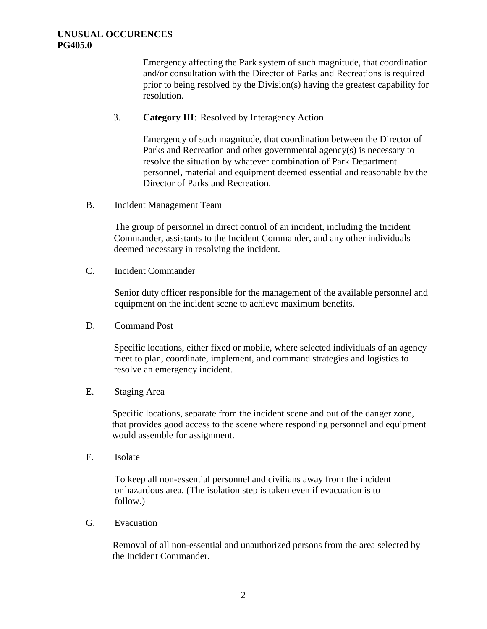Emergency affecting the Park system of such magnitude, that coordination and/or consultation with the Director of Parks and Recreations is required prior to being resolved by the Division(s) having the greatest capability for resolution.

### 3. **Category III**: Resolved by Interagency Action

Emergency of such magnitude, that coordination between the Director of Parks and Recreation and other governmental agency(s) is necessary to resolve the situation by whatever combination of Park Department personnel, material and equipment deemed essential and reasonable by the Director of Parks and Recreation.

B. Incident Management Team

The group of personnel in direct control of an incident, including the Incident Commander, assistants to the Incident Commander, and any other individuals deemed necessary in resolving the incident.

C. Incident Commander

Senior duty officer responsible for the management of the available personnel and equipment on the incident scene to achieve maximum benefits.

D. Command Post

Specific locations, either fixed or mobile, where selected individuals of an agency meet to plan, coordinate, implement, and command strategies and logistics to resolve an emergency incident.

E. Staging Area

Specific locations, separate from the incident scene and out of the danger zone, that provides good access to the scene where responding personnel and equipment would assemble for assignment.

F. Isolate

To keep all non-essential personnel and civilians away from the incident or hazardous area. (The isolation step is taken even if evacuation is to follow.)

G. Evacuation

Removal of all non-essential and unauthorized persons from the area selected by the Incident Commander.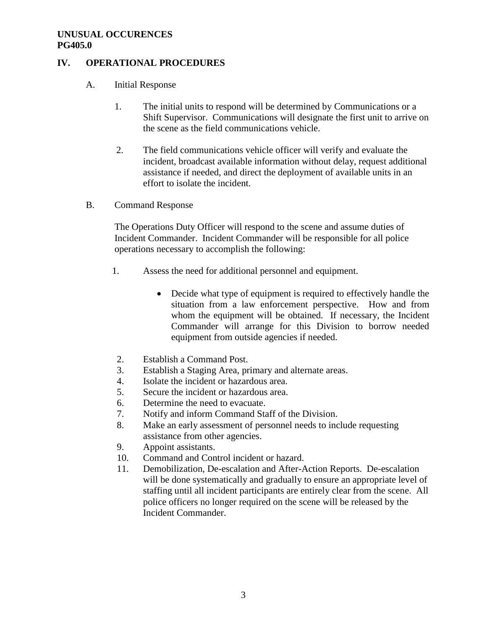## **IV. OPERATIONAL PROCEDURES**

- A. Initial Response
	- 1. The initial units to respond will be determined by Communications or a Shift Supervisor. Communications will designate the first unit to arrive on the scene as the field communications vehicle.
	- 2. The field communications vehicle officer will verify and evaluate the incident, broadcast available information without delay, request additional assistance if needed, and direct the deployment of available units in an effort to isolate the incident.
- B. Command Response

The Operations Duty Officer will respond to the scene and assume duties of Incident Commander. Incident Commander will be responsible for all police operations necessary to accomplish the following:

- 1. Assess the need for additional personnel and equipment.
	- Decide what type of equipment is required to effectively handle the situation from a law enforcement perspective. How and from whom the equipment will be obtained. If necessary, the Incident Commander will arrange for this Division to borrow needed equipment from outside agencies if needed.
- 2. Establish a Command Post.
- 3. Establish a Staging Area, primary and alternate areas.
- 4. Isolate the incident or hazardous area.
- 5. Secure the incident or hazardous area.
- 6. Determine the need to evacuate.
- 7. Notify and inform Command Staff of the Division.
- 8. Make an early assessment of personnel needs to include requesting assistance from other agencies.
- 9. Appoint assistants.
- 10. Command and Control incident or hazard.
- 11. Demobilization, De-escalation and After-Action Reports. De-escalation will be done systematically and gradually to ensure an appropriate level of staffing until all incident participants are entirely clear from the scene. All police officers no longer required on the scene will be released by the Incident Commander.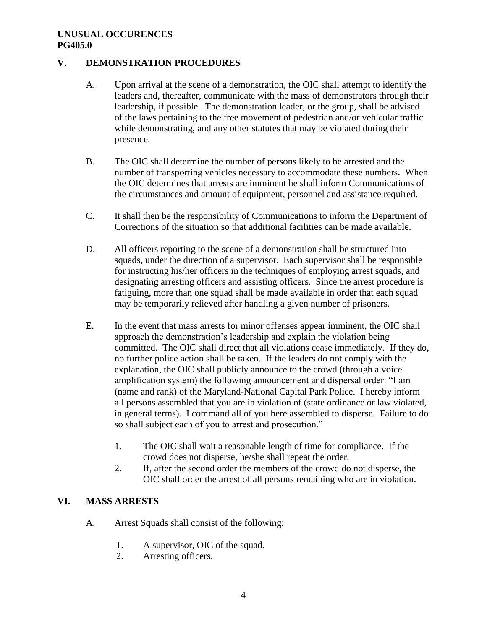## **V. DEMONSTRATION PROCEDURES**

- A. Upon arrival at the scene of a demonstration, the OIC shall attempt to identify the leaders and, thereafter, communicate with the mass of demonstrators through their leadership, if possible. The demonstration leader, or the group, shall be advised of the laws pertaining to the free movement of pedestrian and/or vehicular traffic while demonstrating, and any other statutes that may be violated during their presence.
- B. The OIC shall determine the number of persons likely to be arrested and the number of transporting vehicles necessary to accommodate these numbers. When the OIC determines that arrests are imminent he shall inform Communications of the circumstances and amount of equipment, personnel and assistance required.
- C. It shall then be the responsibility of Communications to inform the Department of Corrections of the situation so that additional facilities can be made available.
- D. All officers reporting to the scene of a demonstration shall be structured into squads, under the direction of a supervisor. Each supervisor shall be responsible for instructing his/her officers in the techniques of employing arrest squads, and designating arresting officers and assisting officers. Since the arrest procedure is fatiguing, more than one squad shall be made available in order that each squad may be temporarily relieved after handling a given number of prisoners.
- E. In the event that mass arrests for minor offenses appear imminent, the OIC shall approach the demonstration's leadership and explain the violation being committed. The OIC shall direct that all violations cease immediately. If they do, no further police action shall be taken. If the leaders do not comply with the explanation, the OIC shall publicly announce to the crowd (through a voice amplification system) the following announcement and dispersal order: "I am (name and rank) of the Maryland-National Capital Park Police. I hereby inform all persons assembled that you are in violation of (state ordinance or law violated, in general terms). I command all of you here assembled to disperse. Failure to do so shall subject each of you to arrest and prosecution."
	- 1. The OIC shall wait a reasonable length of time for compliance. If the crowd does not disperse, he/she shall repeat the order.
	- 2. If, after the second order the members of the crowd do not disperse, the OIC shall order the arrest of all persons remaining who are in violation.

## **VI. MASS ARRESTS**

- A. Arrest Squads shall consist of the following:
	- 1. A supervisor, OIC of the squad.
	- 2. Arresting officers.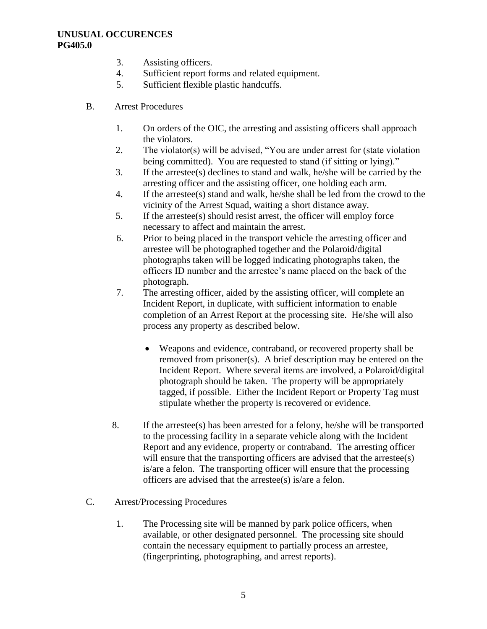- 3. Assisting officers.
- 4. Sufficient report forms and related equipment.
- 5. Sufficient flexible plastic handcuffs.
- B. Arrest Procedures
	- 1. On orders of the OIC, the arresting and assisting officers shall approach the violators.
	- 2. The violator(s) will be advised, "You are under arrest for (state violation being committed). You are requested to stand (if sitting or lying)."
	- 3. If the arrestee(s) declines to stand and walk, he/she will be carried by the arresting officer and the assisting officer, one holding each arm.
	- 4. If the arrestee(s) stand and walk, he/she shall be led from the crowd to the vicinity of the Arrest Squad, waiting a short distance away.
	- 5. If the arrestee(s) should resist arrest, the officer will employ force necessary to affect and maintain the arrest.
	- 6. Prior to being placed in the transport vehicle the arresting officer and arrestee will be photographed together and the Polaroid/digital photographs taken will be logged indicating photographs taken, the officers ID number and the arrestee's name placed on the back of the photograph.
	- 7. The arresting officer, aided by the assisting officer, will complete an Incident Report, in duplicate, with sufficient information to enable completion of an Arrest Report at the processing site. He/she will also process any property as described below.
		- Weapons and evidence, contraband, or recovered property shall be removed from prisoner(s). A brief description may be entered on the Incident Report. Where several items are involved, a Polaroid/digital photograph should be taken. The property will be appropriately tagged, if possible. Either the Incident Report or Property Tag must stipulate whether the property is recovered or evidence.
	- 8. If the arrestee(s) has been arrested for a felony, he/she will be transported to the processing facility in a separate vehicle along with the Incident Report and any evidence, property or contraband. The arresting officer will ensure that the transporting officers are advised that the arrestee(s) is/are a felon. The transporting officer will ensure that the processing officers are advised that the arrestee(s) is/are a felon.
- C. Arrest/Processing Procedures
	- 1. The Processing site will be manned by park police officers, when available, or other designated personnel. The processing site should contain the necessary equipment to partially process an arrestee, (fingerprinting, photographing, and arrest reports).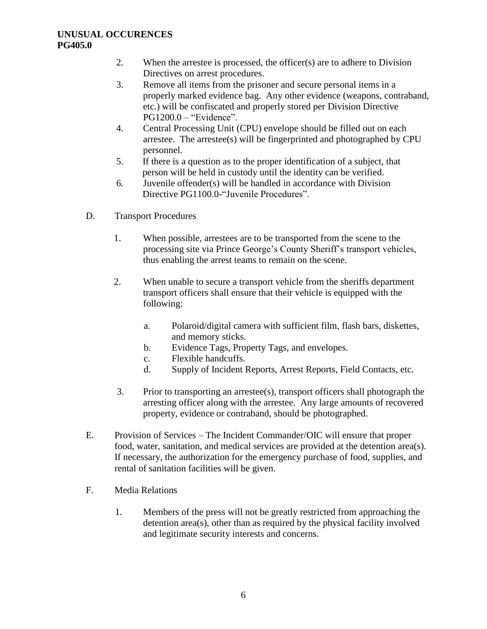- 2. When the arrestee is processed, the officer(s) are to adhere to Division Directives on arrest procedures.
- 3. Remove all items from the prisoner and secure personal items in a properly marked evidence bag. Any other evidence (weapons, contraband, etc.) will be confiscated and properly stored per Division Directive PG1200.0 – "Evidence".
- 4. Central Processing Unit (CPU) envelope should be filled out on each arrestee. The arrestee(s) will be fingerprinted and photographed by CPU personnel.
- 5. If there is a question as to the proper identification of a subject, that person will be held in custody until the identity can be verified.
- 6. Juvenile offender(s) will be handled in accordance with Division Directive PG1100.0-"Juvenile Procedures".
- D. Transport Procedures
	- 1. When possible, arrestees are to be transported from the scene to the processing site via Prince George's County Sheriff's transport vehicles, thus enabling the arrest teams to remain on the scene.
	- 2. When unable to secure a transport vehicle from the sheriffs department transport officers shall ensure that their vehicle is equipped with the following:
		- a. Polaroid/digital camera with sufficient film, flash bars, diskettes, and memory sticks.
		- b. Evidence Tags, Property Tags, and envelopes.
		- c. Flexible handcuffs.
		- d. Supply of Incident Reports, Arrest Reports, Field Contacts, etc.
	- 3. Prior to transporting an arrestee(s), transport officers shall photograph the arresting officer along with the arrestee. Any large amounts of recovered property, evidence or contraband, should be photographed.
- E. Provision of Services The Incident Commander/OIC will ensure that proper food, water, sanitation, and medical services are provided at the detention area(s). If necessary, the authorization for the emergency purchase of food, supplies, and rental of sanitation facilities will be given.
- F. Media Relations
	- 1. Members of the press will not be greatly restricted from approaching the detention area(s), other than as required by the physical facility involved and legitimate security interests and concerns.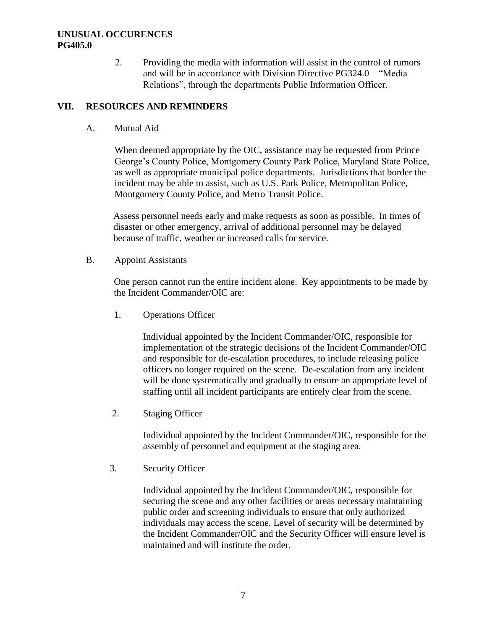2. Providing the media with information will assist in the control of rumors and will be in accordance with Division Directive PG324.0 – "Media Relations", through the departments Public Information Officer.

## **VII. RESOURCES AND REMINDERS**

A. Mutual Aid

When deemed appropriate by the OIC, assistance may be requested from Prince George's County Police, Montgomery County Park Police, Maryland State Police, as well as appropriate municipal police departments. Jurisdictions that border the incident may be able to assist, such as U.S. Park Police, Metropolitan Police, Montgomery County Police, and Metro Transit Police.

Assess personnel needs early and make requests as soon as possible. In times of disaster or other emergency, arrival of additional personnel may be delayed because of traffic, weather or increased calls for service.

B. Appoint Assistants

One person cannot run the entire incident alone. Key appointments to be made by the Incident Commander/OIC are:

1. Operations Officer

Individual appointed by the Incident Commander/OIC, responsible for implementation of the strategic decisions of the Incident Commander/OIC and responsible for de-escalation procedures, to include releasing police officers no longer required on the scene. De-escalation from any incident will be done systematically and gradually to ensure an appropriate level of staffing until all incident participants are entirely clear from the scene.

2. Staging Officer

Individual appointed by the Incident Commander/OIC, responsible for the assembly of personnel and equipment at the staging area.

3. Security Officer

Individual appointed by the Incident Commander/OIC, responsible for securing the scene and any other facilities or areas necessary maintaining public order and screening individuals to ensure that only authorized individuals may access the scene. Level of security will be determined by the Incident Commander/OIC and the Security Officer will ensure level is maintained and will institute the order.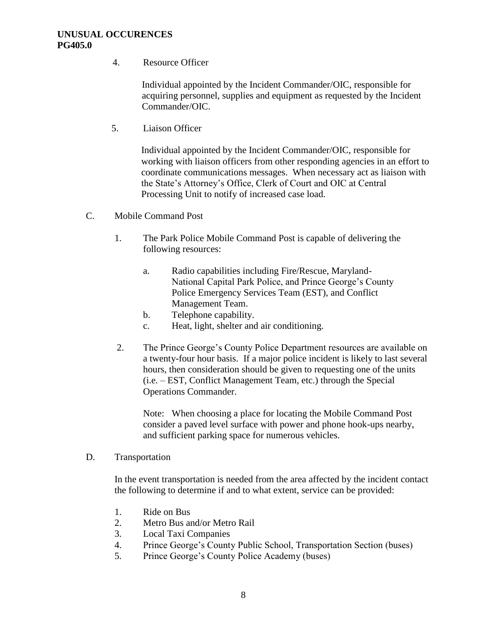4. Resource Officer

Individual appointed by the Incident Commander/OIC, responsible for acquiring personnel, supplies and equipment as requested by the Incident Commander/OIC.

5. Liaison Officer

Individual appointed by the Incident Commander/OIC, responsible for working with liaison officers from other responding agencies in an effort to coordinate communications messages. When necessary act as liaison with the State's Attorney's Office, Clerk of Court and OIC at Central Processing Unit to notify of increased case load.

- C. Mobile Command Post
	- 1. The Park Police Mobile Command Post is capable of delivering the following resources:
		- a. Radio capabilities including Fire/Rescue, Maryland- National Capital Park Police, and Prince George's County Police Emergency Services Team (EST), and Conflict Management Team.
		- b. Telephone capability.
		- c. Heat, light, shelter and air conditioning.
	- 2. The Prince George's County Police Department resources are available on a twenty-four hour basis. If a major police incident is likely to last several hours, then consideration should be given to requesting one of the units (i.e. – EST, Conflict Management Team, etc.) through the Special Operations Commander.

Note: When choosing a place for locating the Mobile Command Post consider a paved level surface with power and phone hook-ups nearby, and sufficient parking space for numerous vehicles.

D. Transportation

In the event transportation is needed from the area affected by the incident contact the following to determine if and to what extent, service can be provided:

- 1. Ride on Bus
- 2. Metro Bus and/or Metro Rail
- 3. Local Taxi Companies
- 4. Prince George's County Public School, Transportation Section (buses)
- 5. Prince George's County Police Academy (buses)